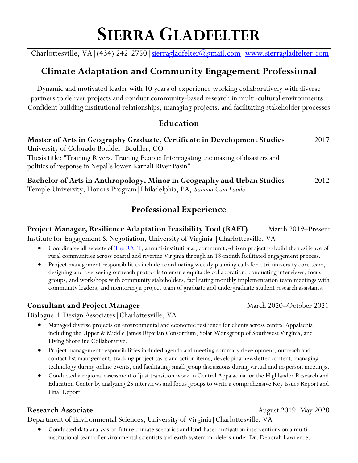Charlottesville, VA | (434) 242-2750 | sierragladfelter (@gmail.com | www.sierragladfelter.com

## **Climate Adaptation and Community Engagement Professional**

Dynamic and motivated leader with 10 years of experience working collaboratively with diverse partners to deliver projects and conduct community-based research in multi-cultural environments| Confident building institutional relationships, managing projects, and facilitating stakeholder processes

#### **Education**

| Master of Arts in Geography Graduate, Certificate in Development Studies                                                                                 | 2017 |
|----------------------------------------------------------------------------------------------------------------------------------------------------------|------|
| University of Colorado Boulder   Boulder, CO                                                                                                             |      |
| Thesis title: "Training Rivers, Training People: Interrogating the making of disasters and<br>politics of response in Nepal's lower Karnali River Basin" |      |
| Bachelor of Arts in Anthropology, Minor in Geography and Urban Studies<br>Temple University, Honors Program   Philadelphia, PA, Summa Cum Laude          | 2012 |

## **Professional Experience**

### **Project Manager, Resilience Adaptation Feasibility Tool (RAFT) March 2019–Present**

Institute for Engagement & Negotiation, University of Virginia |Charlottesville, VA

- Coordinates all aspects of [The RAFT,](https://raft.ien.virginia.edu/) a multi-institutional, community-driven project to build the resilience of rural communities across coastal and riverine Virginia through an 18-month facilitated engagement process.
- Project management responsibilities include coordinating weekly planning calls for a tri-university core team, designing and overseeing outreach protocols to ensure equitable collaboration, conducting interviews, focus groups, and workshops with community stakeholders, facilitating monthly implementation team meetings with community leaders, and mentoring a project team of graduate and undergraduate student research assistants.

#### **Consultant and Project Manager** March 2020–October 2021

Dialogue + Design Associates|Charlottesville, VA

- Managed diverse projects on environmental and economic resilience for clients across central Appalachia including the Upper & Middle James Riparian Consortium, Solar Workgroup of Southwest Virginia, and Living Shoreline Collaborative.
- Project management responsibilities included agenda and meeting summary development, outreach and contact list management, tracking project tasks and action items, developing newsletter content, managing technology during online events, and facilitating small group discussions during virtual and in-person meetings.
- Conducted a regional assessment of just transition work in Central Appalachia for the Highlander Research and Education Center by analyzing 25 interviews and focus groups to write a comprehensive Key Issues Report and Final Report.

#### **Research Associate August 2019–May 2020**

Department of Environmental Sciences, University of Virginia|Charlottesville, VA

• Conducted data analysis on future climate scenarios and land-based mitigation interventions on a multiinstitutional team of environmental scientists and earth system modelers under Dr. Deborah Lawrence.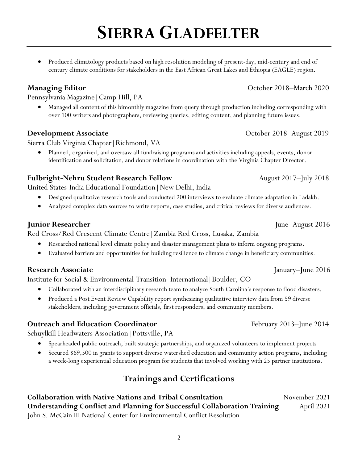• Produced climatology products based on high resolution modeling of present-day, mid-century and end of century climate conditions for stakeholders in the East African Great Lakes and Ethiopia (EAGLE) region.

Pennsylvania Magazine|Camp Hill, PA

• Managed all content of this bimonthly magazine from query through production including corresponding with over 100 writers and photographers, reviewing queries, editing content, and planning future issues.

#### **Development Associate** October 2018–August 2019

Sierra Club Virginia Chapter|Richmond, VA

• Planned, organized, and oversaw all fundraising programs and activities including appeals, events, donor identification and solicitation, and donor relations in coordination with the Virginia Chapter Director.

#### **Fulbright-Nehru Student Research Fellow**August 2017–July 2018

United States-India Educational Foundation|New Delhi, India

- Designed qualitative research tools and conducted 200 interviews to evaluate climate adaptation in Ladakh.
- Analyzed complex data sources to write reports, case studies, and critical reviews for diverse audiences.

#### **Junior Researcher** June–August 2016

Red Cross/Red Crescent Climate Centre|Zambia Red Cross, Lusaka, Zambia

- Researched national level climate policy and disaster management plans to inform ongoing programs.
- Evaluated barriers and opportunities for building resilience to climate change in beneficiary communities.

#### **Research Associate** January–June 2016

Institute for Social & Environmental Transition–International|Boulder, CO

- Collaborated with an interdisciplinary research team to analyze South Carolina's response to flood disasters.
- Produced a Post Event Review Capability report synthesizing qualitative interview data from 59 diverse stakeholders, including government officials, first responders, and community members.

#### **Outreach and Education Coordinator** February 2013–June 2014

Schuylkill Headwaters Association|Pottsville, PA

- Spearheaded public outreach, built strategic partnerships, and organized volunteers to implement projects
- Secured \$69,500 in grants to support diverse watershed education and community action programs, including a week-long experiential education program for students that involved working with 25 partner institutions.

### **Trainings and Certifications**

**Collaboration with Native Nations and Tribal Consultation Movember 2021 Understanding Conflict and Planning for Successful Collaboration Training 3011 1021** John S. McCain III National Center for Environmental Conflict Resolution

#### **Managing Editor Contract 2018 Contract 2018 October 2018 Managing Editor**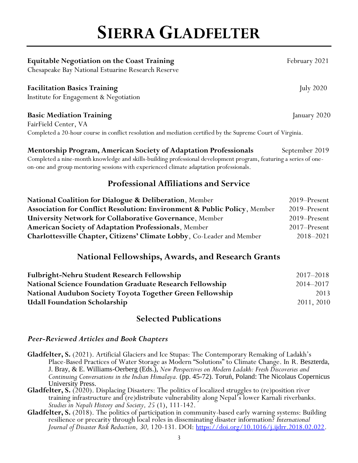#### **Equitable Negotiation on the Coast Training** *February* **2021**

Chesapeake Bay National Estuarine Research Reserve

#### **Facilitation Basics Training** July 2020

Institute for Engagement & Negotiation

#### **Basic Mediation Training**  January 2020

FairField Center, VA Completed a 20-hour course in conflict resolution and mediation certified by the Supreme Court of Virginia.

on-one and group mentoring sessions with experienced climate adaptation professionals.

#### **Mentorship Program, American Society of Adaptation Professionals** September 2019 Completed a nine-month knowledge and skills-building professional development program, featuring a series of one-

### **Professional Affiliations and Service**

| National Coalition for Dialogue & Deliberation, Member                   | 2019–Present  |
|--------------------------------------------------------------------------|---------------|
| Association for Conflict Resolution: Environment & Public Policy, Member | 2019–Present  |
| <b>University Network for Collaborative Governance, Member</b>           | 2019–Present  |
| <b>American Society of Adaptation Professionals, Member</b>              | 2017–Present  |
| Charlottesville Chapter, Citizens' Climate Lobby, Co-Leader and Member   | $2018 - 2021$ |

### **National Fellowships, Awards, and Research Grants**

| Fulbright-Nehru Student Research Fellowship                     | 2017–2018  |
|-----------------------------------------------------------------|------------|
| <b>National Science Foundation Graduate Research Fellowship</b> | 2014–2017  |
| National Audubon Society Toyota Together Green Fellowship       | 2013       |
| <b>Udall Foundation Scholarship</b>                             | 2011, 2010 |

#### **Selected Publications**

#### *Peer-Reviewed Articles and Book Chapters*

- **Gladfelter, S.** (2021). Artificial Glaciers and Ice Stupas: The Contemporary Remaking of Ladakh's Place-Based Practices of Water Storage as Modern "Solutions" to Climate Change. In R. Beszterda, J. Bray, & E. Williams-Oerberg (Eds.), *New Perspectives on Modern Ladakh: Fresh Discoveries and Continuing Conversations in the Indian Himalaya.* (pp. 45-72). Toruń, Poland: The Nicolaus Copernicus University Press.
- **Gladfelter, S.** (2020). Displacing Disasters: The politics of localized struggles to (re)position river training infrastructure and (re)distribute vulnerability along Nepal's lower Karnali riverbanks. *Studies in Nepali History and Society, 25* (1), 111-142.
- **Gladfelter, S.** (2018). The politics of participation in community-based early warning systems: Building resilience or precarity through local roles in disseminating disaster information? *International Journal of Disaster Risk Reduction, 30,* 120-131*.* DOI: [https://doi.org/10.1016/j.ijdrr.2018.02.022.](https://doi.org/10.1016/j.ijdrr.2018.02.022)